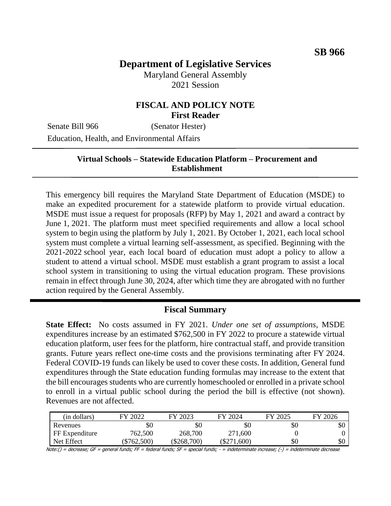# **Department of Legislative Services**

Maryland General Assembly 2021 Session

## **FISCAL AND POLICY NOTE First Reader**

Senate Bill 966 (Senator Hester) Education, Health, and Environmental Affairs

## **Virtual Schools – Statewide Education Platform – Procurement and Establishment**

This emergency bill requires the Maryland State Department of Education (MSDE) to make an expedited procurement for a statewide platform to provide virtual education. MSDE must issue a request for proposals (RFP) by May 1, 2021 and award a contract by June 1, 2021. The platform must meet specified requirements and allow a local school system to begin using the platform by July 1, 2021. By October 1, 2021, each local school system must complete a virtual learning self-assessment, as specified. Beginning with the 2021-2022 school year, each local board of education must adopt a policy to allow a student to attend a virtual school. MSDE must establish a grant program to assist a local school system in transitioning to using the virtual education program. These provisions remain in effect through June 30, 2024, after which time they are abrogated with no further action required by the General Assembly.

#### **Fiscal Summary**

**State Effect:** No costs assumed in FY 2021. *Under one set of assumptions*, MSDE expenditures increase by an estimated \$762,500 in FY 2022 to procure a statewide virtual education platform, user fees for the platform, hire contractual staff, and provide transition grants. Future years reflect one-time costs and the provisions terminating after FY 2024. Federal COVID-19 funds can likely be used to cover these costs. In addition, General fund expenditures through the State education funding formulas may increase to the extent that the bill encourages students who are currently homeschooled or enrolled in a private school to enroll in a virtual public school during the period the bill is effective (not shown). Revenues are not affected.

| (in dollars)   | FY 2022   | FY 2023       | FY 2024       | FY 2025 | FY 2026 |
|----------------|-----------|---------------|---------------|---------|---------|
| Revenues       | \$0       | $\$0$         | \$0           | \$0     | эU      |
| FF Expenditure | 762,500   | 268,700       | 271,600       |         |         |
| Net Effect     | \$762,500 | $(\$268,700)$ | $(\$271,600)$ | \$0     | \$0     |

Note:() = decrease; GF = general funds; FF = federal funds; SF = special funds; - = indeterminate increase; (-) = indeterminate decrease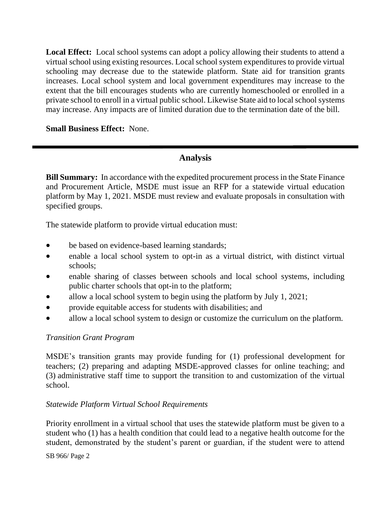**Local Effect:** Local school systems can adopt a policy allowing their students to attend a virtual school using existing resources. Local school system expenditures to provide virtual schooling may decrease due to the statewide platform. State aid for transition grants increases. Local school system and local government expenditures may increase to the extent that the bill encourages students who are currently homeschooled or enrolled in a private school to enroll in a virtual public school. Likewise State aid to local school systems may increase. Any impacts are of limited duration due to the termination date of the bill.

**Small Business Effect:** None.

## **Analysis**

**Bill Summary:** In accordance with the expedited procurement process in the State Finance and Procurement Article, MSDE must issue an RFP for a statewide virtual education platform by May 1, 2021. MSDE must review and evaluate proposals in consultation with specified groups.

The statewide platform to provide virtual education must:

- be based on evidence-based learning standards;
- enable a local school system to opt-in as a virtual district, with distinct virtual schools;
- enable sharing of classes between schools and local school systems, including public charter schools that opt-in to the platform;
- allow a local school system to begin using the platform by July 1, 2021;
- provide equitable access for students with disabilities; and
- allow a local school system to design or customize the curriculum on the platform.

## *Transition Grant Program*

MSDE's transition grants may provide funding for (1) professional development for teachers; (2) preparing and adapting MSDE-approved classes for online teaching; and (3) administrative staff time to support the transition to and customization of the virtual school.

## *Statewide Platform Virtual School Requirements*

Priority enrollment in a virtual school that uses the statewide platform must be given to a student who (1) has a health condition that could lead to a negative health outcome for the student, demonstrated by the student's parent or guardian, if the student were to attend

SB 966/ Page 2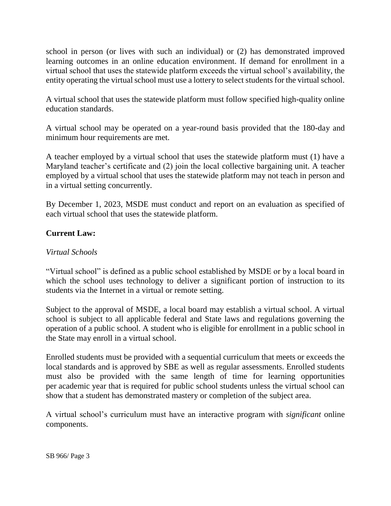school in person (or lives with such an individual) or (2) has demonstrated improved learning outcomes in an online education environment. If demand for enrollment in a virtual school that uses the statewide platform exceeds the virtual school's availability, the entity operating the virtual school must use a lottery to select students for the virtual school.

A virtual school that uses the statewide platform must follow specified high-quality online education standards.

A virtual school may be operated on a year-round basis provided that the 180-day and minimum hour requirements are met.

A teacher employed by a virtual school that uses the statewide platform must (1) have a Maryland teacher's certificate and (2) join the local collective bargaining unit. A teacher employed by a virtual school that uses the statewide platform may not teach in person and in a virtual setting concurrently.

By December 1, 2023, MSDE must conduct and report on an evaluation as specified of each virtual school that uses the statewide platform.

## **Current Law:**

#### *Virtual Schools*

"Virtual school" is defined as a public school established by MSDE or by a local board in which the school uses technology to deliver a significant portion of instruction to its students via the Internet in a virtual or remote setting.

Subject to the approval of MSDE, a local board may establish a virtual school. A virtual school is subject to all applicable federal and State laws and regulations governing the operation of a public school. A student who is eligible for enrollment in a public school in the State may enroll in a virtual school.

Enrolled students must be provided with a sequential curriculum that meets or exceeds the local standards and is approved by SBE as well as regular assessments. Enrolled students must also be provided with the same length of time for learning opportunities per academic year that is required for public school students unless the virtual school can show that a student has demonstrated mastery or completion of the subject area.

A virtual school's curriculum must have an interactive program with *significant* online components.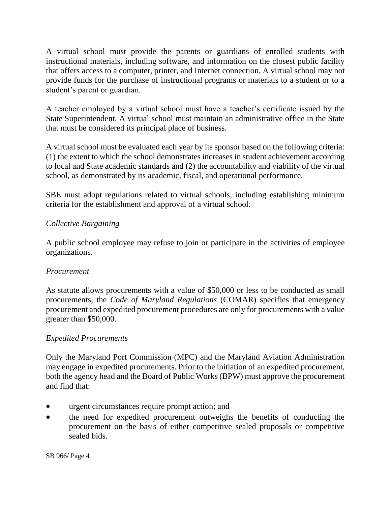A virtual school must provide the parents or guardians of enrolled students with instructional materials, including software, and information on the closest public facility that offers access to a computer, printer, and Internet connection. A virtual school may not provide funds for the purchase of instructional programs or materials to a student or to a student's parent or guardian.

A teacher employed by a virtual school must have a teacher's certificate issued by the State Superintendent. A virtual school must maintain an administrative office in the State that must be considered its principal place of business.

A virtual school must be evaluated each year by its sponsor based on the following criteria: (1) the extent to which the school demonstrates increases in student achievement according to local and State academic standards and (2) the accountability and viability of the virtual school, as demonstrated by its academic, fiscal, and operational performance.

SBE must adopt regulations related to virtual schools, including establishing minimum criteria for the establishment and approval of a virtual school.

## *Collective Bargaining*

A public school employee may refuse to join or participate in the activities of employee organizations.

## *Procurement*

As statute allows procurements with a value of \$50,000 or less to be conducted as small procurements, the *Code of Maryland Regulations* (COMAR) specifies that emergency procurement and expedited procurement procedures are only for procurements with a value greater than \$50,000.

## *Expedited Procurements*

Only the Maryland Port Commission (MPC) and the Maryland Aviation Administration may engage in expedited procurements. Prior to the initiation of an expedited procurement, both the agency head and the Board of Public Works (BPW) must approve the procurement and find that:

- urgent circumstances require prompt action; and
- the need for expedited procurement outweighs the benefits of conducting the procurement on the basis of either competitive sealed proposals or competitive sealed bids.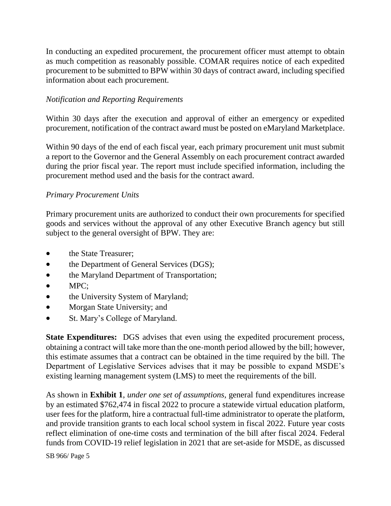In conducting an expedited procurement, the procurement officer must attempt to obtain as much competition as reasonably possible. COMAR requires notice of each expedited procurement to be submitted to BPW within 30 days of contract award, including specified information about each procurement.

#### *Notification and Reporting Requirements*

Within 30 days after the execution and approval of either an emergency or expedited procurement, notification of the contract award must be posted on eMaryland Marketplace.

Within 90 days of the end of each fiscal year, each primary procurement unit must submit a report to the Governor and the General Assembly on each procurement contract awarded during the prior fiscal year. The report must include specified information, including the procurement method used and the basis for the contract award.

#### *Primary Procurement Units*

Primary procurement units are authorized to conduct their own procurements for specified goods and services without the approval of any other Executive Branch agency but still subject to the general oversight of BPW. They are:

- the State Treasurer;
- the Department of General Services (DGS);
- the Maryland Department of Transportation;
- MPC:
- the University System of Maryland;
- Morgan State University; and
- St. Mary's College of Maryland.

**State Expenditures:** DGS advises that even using the expedited procurement process, obtaining a contract will take more than the one-month period allowed by the bill; however, this estimate assumes that a contract can be obtained in the time required by the bill. The Department of Legislative Services advises that it may be possible to expand MSDE's existing learning management system (LMS) to meet the requirements of the bill.

As shown in **Exhibit 1**, *under one set of assumptions*, general fund expenditures increase by an estimated \$762,474 in fiscal 2022 to procure a statewide virtual education platform, user fees for the platform, hire a contractual full-time administrator to operate the platform, and provide transition grants to each local school system in fiscal 2022. Future year costs reflect elimination of one-time costs and termination of the bill after fiscal 2024. Federal funds from COVID-19 relief legislation in 2021 that are set-aside for MSDE, as discussed

SB 966/ Page 5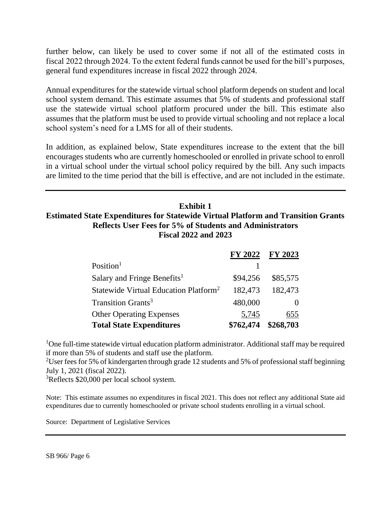further below, can likely be used to cover some if not all of the estimated costs in fiscal 2022 through 2024. To the extent federal funds cannot be used for the bill's purposes, general fund expenditures increase in fiscal 2022 through 2024.

Annual expenditures for the statewide virtual school platform depends on student and local school system demand. This estimate assumes that 5% of students and professional staff use the statewide virtual school platform procured under the bill. This estimate also assumes that the platform must be used to provide virtual schooling and not replace a local school system's need for a LMS for all of their students.

In addition, as explained below, State expenditures increase to the extent that the bill encourages students who are currently homeschooled or enrolled in private school to enroll in a virtual school under the virtual school policy required by the bill. Any such impacts are limited to the time period that the bill is effective, and are not included in the estimate.

## **Exhibit 1 Estimated State Expenditures for Statewide Virtual Platform and Transition Grants Reflects User Fees for 5% of Students and Administrators Fiscal 2022 and 2023**

|                                                   | <b>FY 2022</b> | <b>FY 2023</b> |
|---------------------------------------------------|----------------|----------------|
| Position <sup>1</sup>                             |                |                |
| Salary and Fringe Benefits <sup>1</sup>           | \$94,256       | \$85,575       |
| Statewide Virtual Education Platform <sup>2</sup> | 182,473        | 182,473        |
| Transition Grants <sup>3</sup>                    | 480,000        |                |
| <b>Other Operating Expenses</b>                   | 5,745          | 655            |
| <b>Total State Expenditures</b>                   | \$762,474      | \$268,703      |

<sup>1</sup>One full-time statewide virtual education platform administrator. Additional staff may be required if more than 5% of students and staff use the platform.

<sup>2</sup>User fees for 5% of kindergarten through grade 12 students and 5% of professional staff beginning July 1, 2021 (fiscal 2022).

<sup>3</sup>Reflects \$20,000 per local school system.

Note: This estimate assumes no expenditures in fiscal 2021. This does not reflect any additional State aid expenditures due to currently homeschooled or private school students enrolling in a virtual school.

Source: Department of Legislative Services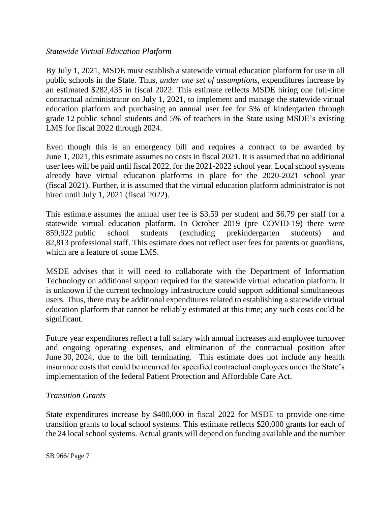#### *Statewide Virtual Education Platform*

By July 1, 2021, MSDE must establish a statewide virtual education platform for use in all public schools in the State. Thus, *under one set of assumptions*, expenditures increase by an estimated \$282,435 in fiscal 2022. This estimate reflects MSDE hiring one full-time contractual administrator on July 1, 2021, to implement and manage the statewide virtual education platform and purchasing an annual user fee for 5% of kindergarten through grade 12 public school students and 5% of teachers in the State using MSDE's existing LMS for fiscal 2022 through 2024.

Even though this is an emergency bill and requires a contract to be awarded by June 1, 2021, this estimate assumes no costs in fiscal 2021. It is assumed that no additional user fees will be paid until fiscal 2022, for the 2021-2022 school year. Local school systems already have virtual education platforms in place for the 2020-2021 school year (fiscal 2021). Further, it is assumed that the virtual education platform administrator is not hired until July 1, 2021 (fiscal 2022).

This estimate assumes the annual user fee is \$3.59 per student and \$6.79 per staff for a statewide virtual education platform. In October 2019 (pre COVID-19) there were 859,922 public school students (excluding prekindergarten students) and 82,813 professional staff. This estimate does not reflect user fees for parents or guardians, which are a feature of some LMS.

MSDE advises that it will need to collaborate with the Department of Information Technology on additional support required for the statewide virtual education platform. It is unknown if the current technology infrastructure could support additional simultaneous users. Thus, there may be additional expenditures related to establishing a statewide virtual education platform that cannot be reliably estimated at this time; any such costs could be significant.

Future year expenditures reflect a full salary with annual increases and employee turnover and ongoing operating expenses, and elimination of the contractual position after June 30, 2024, due to the bill terminating. This estimate does not include any health insurance costs that could be incurred for specified contractual employees under the State's implementation of the federal Patient Protection and Affordable Care Act.

## *Transition Grants*

State expenditures increase by \$480,000 in fiscal 2022 for MSDE to provide one-time transition grants to local school systems. This estimate reflects \$20,000 grants for each of the 24 local school systems. Actual grants will depend on funding available and the number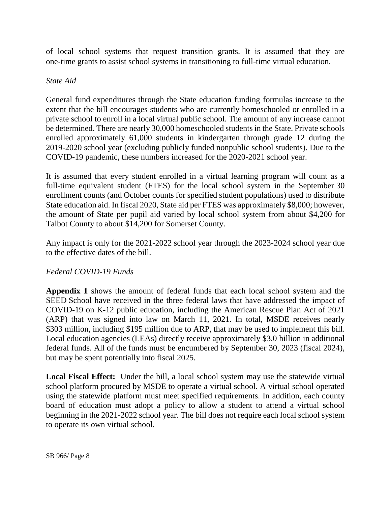of local school systems that request transition grants. It is assumed that they are one-time grants to assist school systems in transitioning to full-time virtual education.

#### *State Aid*

General fund expenditures through the State education funding formulas increase to the extent that the bill encourages students who are currently homeschooled or enrolled in a private school to enroll in a local virtual public school. The amount of any increase cannot be determined. There are nearly 30,000 homeschooled students in the State. Private schools enrolled approximately 61,000 students in kindergarten through grade 12 during the 2019-2020 school year (excluding publicly funded nonpublic school students). Due to the COVID-19 pandemic, these numbers increased for the 2020-2021 school year.

It is assumed that every student enrolled in a virtual learning program will count as a full-time equivalent student (FTES) for the local school system in the September 30 enrollment counts (and October counts for specified student populations) used to distribute State education aid. In fiscal 2020, State aid per FTES was approximately \$8,000; however, the amount of State per pupil aid varied by local school system from about \$4,200 for Talbot County to about \$14,200 for Somerset County.

Any impact is only for the 2021-2022 school year through the 2023-2024 school year due to the effective dates of the bill.

## *Federal COVID-19 Funds*

**Appendix 1** shows the amount of federal funds that each local school system and the SEED School have received in the three federal laws that have addressed the impact of COVID-19 on K-12 public education, including the American Rescue Plan Act of 2021 (ARP) that was signed into law on March 11, 2021. In total, MSDE receives nearly \$303 million, including \$195 million due to ARP, that may be used to implement this bill. Local education agencies (LEAs) directly receive approximately \$3.0 billion in additional federal funds. All of the funds must be encumbered by September 30, 2023 (fiscal 2024), but may be spent potentially into fiscal 2025.

**Local Fiscal Effect:** Under the bill, a local school system may use the statewide virtual school platform procured by MSDE to operate a virtual school. A virtual school operated using the statewide platform must meet specified requirements. In addition, each county board of education must adopt a policy to allow a student to attend a virtual school beginning in the 2021-2022 school year. The bill does not require each local school system to operate its own virtual school.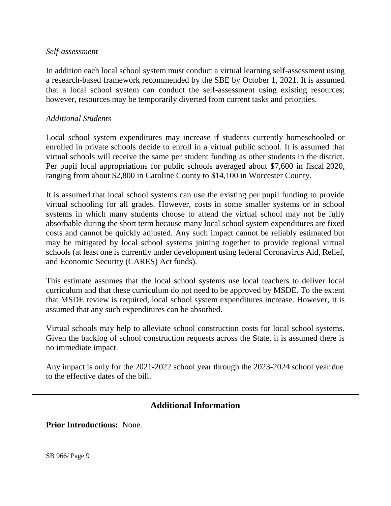#### *Self-assessment*

In addition each local school system must conduct a virtual learning self-assessment using a research-based framework recommended by the SBE by October 1, 2021. It is assumed that a local school system can conduct the self-assessment using existing resources; however, resources may be temporarily diverted from current tasks and priorities.

#### *Additional Students*

Local school system expenditures may increase if students currently homeschooled or enrolled in private schools decide to enroll in a virtual public school. It is assumed that virtual schools will receive the same per student funding as other students in the district. Per pupil local appropriations for public schools averaged about \$7,600 in fiscal 2020, ranging from about \$2,800 in Caroline County to \$14,100 in Worcester County.

It is assumed that local school systems can use the existing per pupil funding to provide virtual schooling for all grades. However, costs in some smaller systems or in school systems in which many students choose to attend the virtual school may not be fully absorbable during the short term because many local school system expenditures are fixed costs and cannot be quickly adjusted. Any such impact cannot be reliably estimated but may be mitigated by local school systems joining together to provide regional virtual schools (at least one is currently under development using federal Coronavirus Aid, Relief, and Economic Security (CARES) Act funds).

This estimate assumes that the local school systems use local teachers to deliver local curriculum and that these curriculum do not need to be approved by MSDE. To the extent that MSDE review is required, local school system expenditures increase. However, it is assumed that any such expenditures can be absorbed.

Virtual schools may help to alleviate school construction costs for local school systems. Given the backlog of school construction requests across the State, it is assumed there is no immediate impact.

Any impact is only for the 2021-2022 school year through the 2023-2024 school year due to the effective dates of the bill.

## **Additional Information**

**Prior Introductions:** None.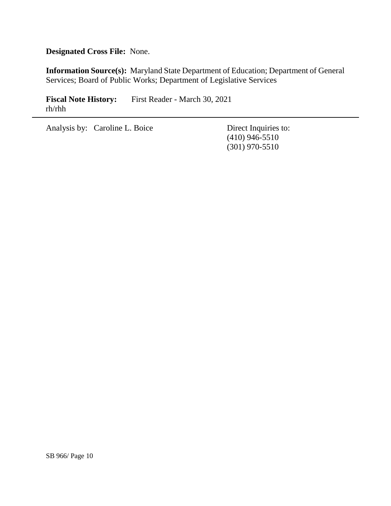**Designated Cross File:** None.

**Information Source(s):** Maryland State Department of Education; Department of General Services; Board of Public Works; Department of Legislative Services

**Fiscal Note History:** First Reader - March 30, 2021 rh/rhh

Analysis by: Caroline L. Boice Direct Inquiries to:

(410) 946-5510 (301) 970-5510